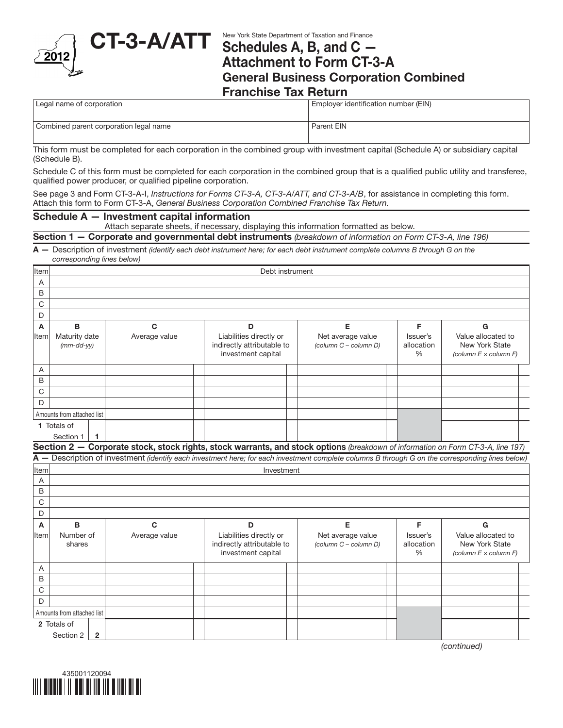

# $\text{CT-3-A/ATT}$  New York State Department of Taxation and Finance Schedules A, B, and C — Attachment to Form CT-3-A General Business Corporation Combined

Franchise Tax Return

Employer identification number (EIN)

Combined parent corporation legal name Parent EIN

This form must be completed for each corporation in the combined group with investment capital (Schedule A) or subsidiary capital (Schedule B).

Schedule C of this form must be completed for each corporation in the combined group that is a qualified public utility and transferee, qualified power producer, or qualified pipeline corporation.

See page 3 and Form CT-3-A-I, *Instructions for Forms CT-3-A, CT-3-A/ATT, and CT-3-A/B*, for assistance in completing this form. Attach this form to Form CT-3-A, *General Business Corporation Combined Franchise Tax Return.*

### Schedule A — Investment capital information

Attach separate sheets, if necessary, displaying this information formatted as below.

Section 1 — Corporate and governmental debt instruments *(breakdown of information on Form CT-3-A, line 196)*

A — Description of investment *(identify each debt instrument here; for each debt instrument complete columns B through G on the corresponding lines below)*

| Item        | Debt instrument                      |                |                                                                                                                                                  |                                                                             |  |                                            |                                         |                                                                         |  |  |
|-------------|--------------------------------------|----------------|--------------------------------------------------------------------------------------------------------------------------------------------------|-----------------------------------------------------------------------------|--|--------------------------------------------|-----------------------------------------|-------------------------------------------------------------------------|--|--|
| A           |                                      |                |                                                                                                                                                  |                                                                             |  |                                            |                                         |                                                                         |  |  |
| B           |                                      |                |                                                                                                                                                  |                                                                             |  |                                            |                                         |                                                                         |  |  |
| C           |                                      |                |                                                                                                                                                  |                                                                             |  |                                            |                                         |                                                                         |  |  |
| D           |                                      |                |                                                                                                                                                  |                                                                             |  |                                            |                                         |                                                                         |  |  |
| Α           | в                                    |                | $\mathbf{C}$                                                                                                                                     | D                                                                           |  | Е                                          | F                                       | G                                                                       |  |  |
| Item        | Maturity date<br>$(mm-dd-yy)$        |                | Average value                                                                                                                                    | Liabilities directly or<br>indirectly attributable to<br>investment capital |  | Net average value<br>(column C - column D) | Issuer's<br>allocation<br>$\frac{0}{0}$ | Value allocated to<br>New York State<br>(column $E \times$ column $F$ ) |  |  |
| Α           |                                      |                |                                                                                                                                                  |                                                                             |  |                                            |                                         |                                                                         |  |  |
| $\mathsf B$ |                                      |                |                                                                                                                                                  |                                                                             |  |                                            |                                         |                                                                         |  |  |
| C           |                                      |                |                                                                                                                                                  |                                                                             |  |                                            |                                         |                                                                         |  |  |
| D           |                                      |                |                                                                                                                                                  |                                                                             |  |                                            |                                         |                                                                         |  |  |
|             | Amounts from attached list           |                |                                                                                                                                                  |                                                                             |  |                                            |                                         |                                                                         |  |  |
|             | 1 Totals of                          |                |                                                                                                                                                  |                                                                             |  |                                            |                                         |                                                                         |  |  |
|             | Section 1                            | -1             |                                                                                                                                                  |                                                                             |  |                                            |                                         |                                                                         |  |  |
|             |                                      |                | Section 2 - Corporate stock, stock rights, stock warrants, and stock options (breakdown of information on Form CT-3-A, line 197)                 |                                                                             |  |                                            |                                         |                                                                         |  |  |
|             |                                      |                | A - Description of investment (identify each investment here; for each investment complete columns B through G on the corresponding lines below) |                                                                             |  |                                            |                                         |                                                                         |  |  |
| Item        | Investment                           |                |                                                                                                                                                  |                                                                             |  |                                            |                                         |                                                                         |  |  |
| A           |                                      |                |                                                                                                                                                  |                                                                             |  |                                            |                                         |                                                                         |  |  |
| B           |                                      |                |                                                                                                                                                  |                                                                             |  |                                            |                                         |                                                                         |  |  |
| C           |                                      |                |                                                                                                                                                  |                                                                             |  |                                            |                                         |                                                                         |  |  |
| D           |                                      |                |                                                                                                                                                  |                                                                             |  |                                            |                                         |                                                                         |  |  |
| A           | B                                    |                | $\mathbf{C}$                                                                                                                                     | D                                                                           |  | E                                          | F                                       | G                                                                       |  |  |
| lltem       | Number of<br>Average value<br>shares |                |                                                                                                                                                  | Liabilities directly or<br>indirectly attributable to<br>investment capital |  | Net average value<br>(column C - column D) | Issuer's<br>allocation<br>%             | Value allocated to<br>New York State<br>(column $E \times$ column $F$ ) |  |  |
| Α           |                                      |                |                                                                                                                                                  |                                                                             |  |                                            |                                         |                                                                         |  |  |
| B           |                                      |                |                                                                                                                                                  |                                                                             |  |                                            |                                         |                                                                         |  |  |
| $\mathbf C$ |                                      |                |                                                                                                                                                  |                                                                             |  |                                            |                                         |                                                                         |  |  |
| D           |                                      |                |                                                                                                                                                  |                                                                             |  |                                            |                                         |                                                                         |  |  |
|             | Amounts from attached list           |                |                                                                                                                                                  |                                                                             |  |                                            |                                         |                                                                         |  |  |
|             | 2 Totals of                          |                |                                                                                                                                                  |                                                                             |  |                                            |                                         |                                                                         |  |  |
|             | Section 2                            | $\overline{2}$ |                                                                                                                                                  |                                                                             |  |                                            |                                         |                                                                         |  |  |

*(continued)*

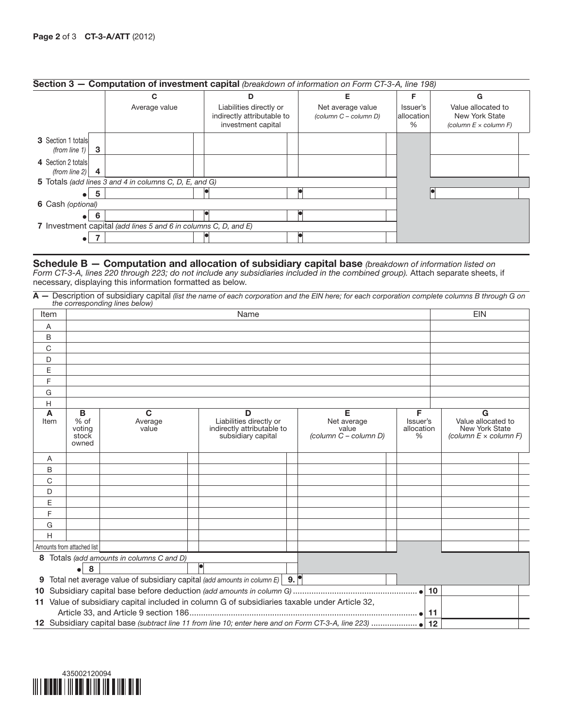|                                                  | Section 3 - Computation of investment capital (breakdown of information on Form CT-3-A, line 198) |                                                                             |                                            |                                |                                                                      |
|--------------------------------------------------|---------------------------------------------------------------------------------------------------|-----------------------------------------------------------------------------|--------------------------------------------|--------------------------------|----------------------------------------------------------------------|
|                                                  | С                                                                                                 | D                                                                           | Е                                          |                                | G                                                                    |
|                                                  | Average value                                                                                     | Liabilities directly or<br>indirectly attributable to<br>investment capital | Net average value<br>(column C - column D) | Issuer's<br>allocation<br>$\%$ | Value allocated to<br>New York State<br>(column $E \times$ column F) |
| <b>3</b> Section 1 totals<br>-3<br>(from line 1) |                                                                                                   |                                                                             |                                            |                                |                                                                      |
| 4 Section 2 totals<br>(from line $2$ )           |                                                                                                   |                                                                             |                                            |                                |                                                                      |
|                                                  | 5 Totals (add lines 3 and 4 in columns C, D, E, and G)                                            |                                                                             |                                            |                                |                                                                      |
|                                                  |                                                                                                   |                                                                             |                                            |                                |                                                                      |
| 6 Cash (optional)                                |                                                                                                   |                                                                             |                                            |                                |                                                                      |
|                                                  |                                                                                                   |                                                                             |                                            |                                |                                                                      |
|                                                  | 7 Investment capital (add lines 5 and 6 in columns C, D, and E)                                   |                                                                             |                                            |                                |                                                                      |
|                                                  |                                                                                                   |                                                                             |                                            |                                |                                                                      |

#### Schedule B — Computation and allocation of subsidiary capital base *(breakdown of information listed on*

*Form CT-3-A, lines 220 through 223; do not include any subsidiaries included in the combined group).* Attach separate sheets, if necessary, displaying this information formatted as below.

A — Description of subsidiary capital *(list the name of each corporation and the EIN here; for each corporation complete columns B through G on the corresponding lines below)*

| Item      |  | Name                                  |                                                                                               |  |                                                                                  |  |                                                    |                                              | <b>EIN</b> |                                                                              |
|-----------|--|---------------------------------------|-----------------------------------------------------------------------------------------------|--|----------------------------------------------------------------------------------|--|----------------------------------------------------|----------------------------------------------|------------|------------------------------------------------------------------------------|
| A         |  |                                       |                                                                                               |  |                                                                                  |  |                                                    |                                              |            |                                                                              |
| B         |  |                                       |                                                                                               |  |                                                                                  |  |                                                    |                                              |            |                                                                              |
| C         |  |                                       |                                                                                               |  |                                                                                  |  |                                                    |                                              |            |                                                                              |
| D         |  |                                       |                                                                                               |  |                                                                                  |  |                                                    |                                              |            |                                                                              |
| E         |  |                                       |                                                                                               |  |                                                                                  |  |                                                    |                                              |            |                                                                              |
| F         |  |                                       |                                                                                               |  |                                                                                  |  |                                                    |                                              |            |                                                                              |
| G         |  |                                       |                                                                                               |  |                                                                                  |  |                                                    |                                              |            |                                                                              |
| H         |  |                                       |                                                                                               |  |                                                                                  |  |                                                    |                                              |            |                                                                              |
| A<br>Item |  | B<br>% of<br>voting<br>stock<br>owned | $\mathbf c$<br>Average<br>value                                                               |  | D<br>Liabilities directly or<br>indirectly attributable to<br>subsidiary capital |  | Е<br>Net average<br>value<br>(column C - column D) | F<br>Issuer's<br>allocation<br>$\frac{0}{0}$ |            | G<br>Value allocated to<br>New York State<br>(column $E \times$ column $F$ ) |
| A         |  |                                       |                                                                                               |  |                                                                                  |  |                                                    |                                              |            |                                                                              |
| B         |  |                                       |                                                                                               |  |                                                                                  |  |                                                    |                                              |            |                                                                              |
| C         |  |                                       |                                                                                               |  |                                                                                  |  |                                                    |                                              |            |                                                                              |
| D         |  |                                       |                                                                                               |  |                                                                                  |  |                                                    |                                              |            |                                                                              |
| E         |  |                                       |                                                                                               |  |                                                                                  |  |                                                    |                                              |            |                                                                              |
| F         |  |                                       |                                                                                               |  |                                                                                  |  |                                                    |                                              |            |                                                                              |
| G         |  |                                       |                                                                                               |  |                                                                                  |  |                                                    |                                              |            |                                                                              |
| H         |  |                                       |                                                                                               |  |                                                                                  |  |                                                    |                                              |            |                                                                              |
|           |  | Amounts from attached list            |                                                                                               |  |                                                                                  |  |                                                    |                                              |            |                                                                              |
| 8         |  |                                       | Totals (add amounts in columns C and D)                                                       |  |                                                                                  |  |                                                    |                                              |            |                                                                              |
|           |  | $\bullet$ 8                           |                                                                                               |  |                                                                                  |  |                                                    |                                              |            |                                                                              |
|           |  |                                       | 9 Total net average value of subsidiary capital (add amounts in column $E$ ) 9.               |  |                                                                                  |  |                                                    |                                              |            |                                                                              |
|           |  |                                       |                                                                                               |  |                                                                                  |  |                                                    |                                              | 10         |                                                                              |
|           |  |                                       | 11 Value of subsidiary capital included in column G of subsidiaries taxable under Article 32, |  |                                                                                  |  |                                                    |                                              |            |                                                                              |
|           |  |                                       |                                                                                               |  |                                                                                  |  |                                                    |                                              |            |                                                                              |
|           |  |                                       |                                                                                               |  |                                                                                  |  |                                                    |                                              | 12         |                                                                              |